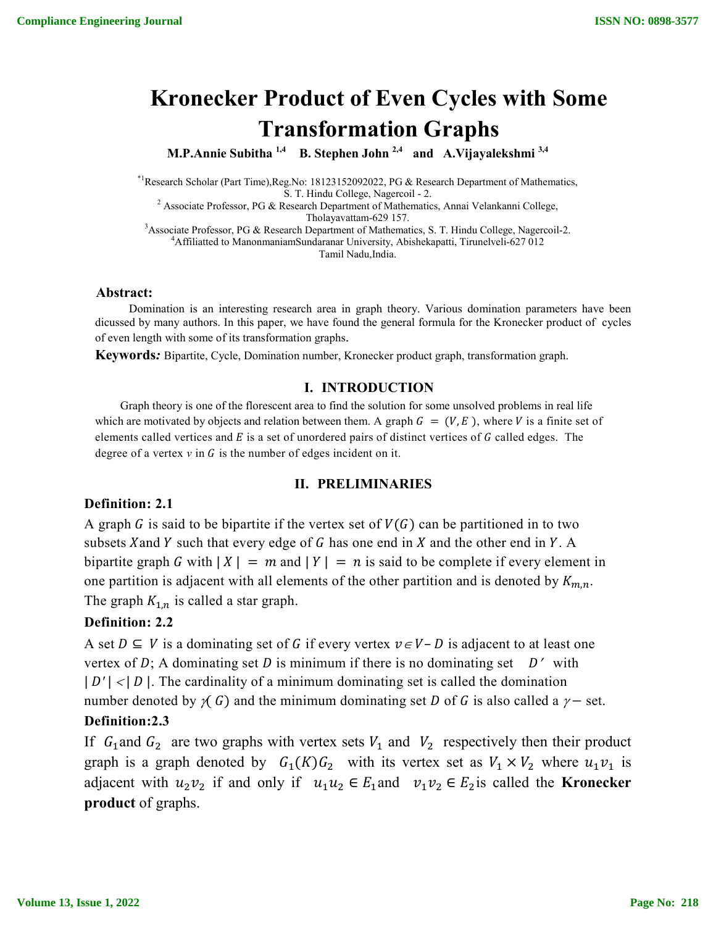# **Kronecker Product of Even Cycles with Some Transformation Graphs**

**M.P.Annie Subitha 1,4 B. Stephen John 2,4 and A.Vijayalekshmi 3,4**

\*1Research Scholar (Part Time),Reg.No: 18123152092022, PG & Research Department of Mathematics,

S. T. Hindu College, Nagercoil - 2.<br>
<sup>2</sup> Associate Professor, PG & Research Department of Mathematics, Annai Velankanni College,<br>
Tholayavattam-629 157.

Tholayavattam-629 157.<br><sup>3</sup> Associate Professor, PG & Pesearch Department of Mathemat Associate Professor, PG & Research Department of Mathematics, S. T. Hindu College, Nagercoil-2.<br><sup>4</sup>A filiatted to Manonmaniam Sundaranar University, Abishekanatti, Tirunalyeli 627.012 Affiliatted to ManonmaniamSundaranar University, Abishekapatti, Tirunelveli-627 012 Tamil Nadu,India.

#### **Abstract:**

Domination is an interesting research area in graph theory. Various domination parameters have been dicussed by many authors. In this paper, we have found the general formula for the Kronecker product of cycles of even length with some of its transformation graphs.

**Keywords***:* Bipartite, Cycle, Domination number, Kronecker product graph, transformation graph.

### **I. INTRODUCTION**

Graph theory is one of the florescent area to find the solution for some unsolved problems in real life which are motivated by objects and relation between them. A graph  $G = (V, E)$ , where V is a finite set of elements called vertices and  $E$  is a set of unordered pairs of distinct vertices of  $G$  called edges. The degree of a vertex  $v$  in  $G$  is the number of edges incident on it.

#### **II. PRELIMINARIES**

### **Definition: 2.1**

A graph G is said to be bipartite if the vertex set of  $V(G)$  can be partitioned in to two subsets X and Y such that every edge of G has one end in  $X$  and the other end in  $Y$ . A bipartite graph G with  $|X| = m$  and  $|Y| = n$  is said to be complete if every element in one partition is adjacent with all elements of the other partition and is denoted by  $K_{m,n}$ . The graph  $K_{1,n}$  is called a star graph.

#### **Definition: 2.2**

A set  $D \subseteq V$  is a dominating set of G if every vertex  $v \in V - D$  is adjacent to at least one vertex of D; A dominating set D is minimum if there is no dominating set  $D'$  with |  $D'$ | <|  $D$ |. The cardinality of a minimum dominating set is called the domination number denoted by  $\gamma$  G) and the minimum dominating set D of G is also called a  $\gamma$  – set.

## **Definition:2.3**

If  $G_1$  and  $G_2$  are two graphs with vertex sets  $V_1$  and  $V_2$  respectively then their product graph is a graph denoted by  $G_1(K) G_2$  with its vertex set as  $V_1 \times V_2$  where  $u_1v_1$  is adjacent with  $u_2v_2$  if and only if  $u_1u_2 \in E_1$  and  $v_1v_2 \in E_2$  is called the **Kronecker product** of graphs.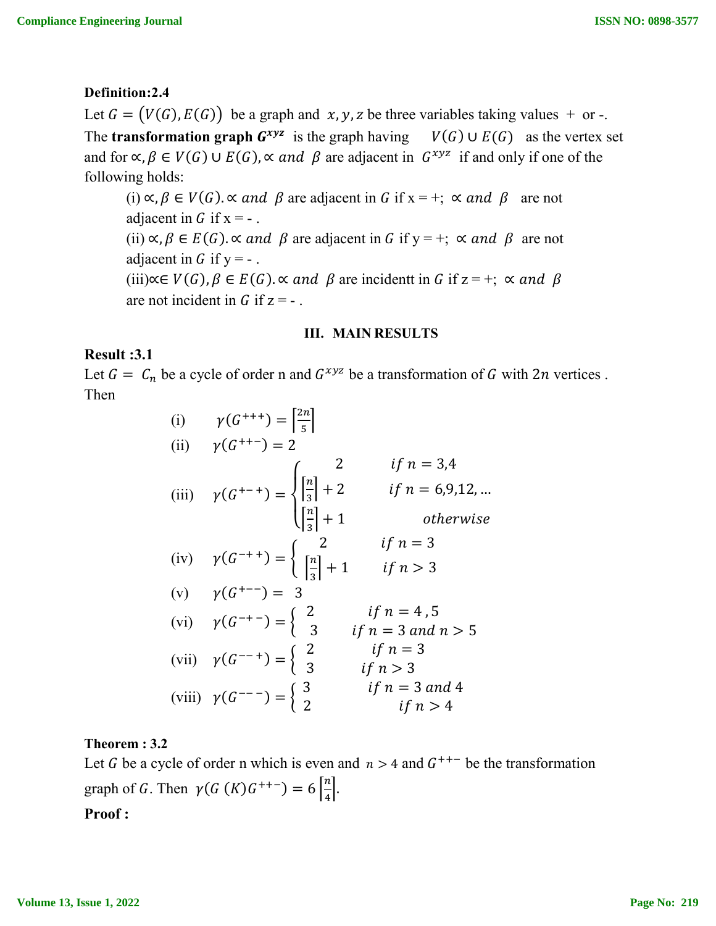## **Definition:2.4**

Let  $G = (V(G), E(G))$  be a graph and  $x, y, z$  be three variables taking values + or -. The **transformation graph**  $G^{xyz}$  is the graph having  $V(G) \cup E(G)$  as the vertex set and for  $\alpha, \beta \in V(G) \cup E(G)$ ,  $\alpha$  and  $\beta$  are adjacent in  $G^{xyz}$  if and only if one of the following holds:

(i)  $\alpha, \beta \in V(G)$ .  $\alpha$  and  $\beta$  are adjacent in G if  $x = +$ ;  $\alpha$  and  $\beta$  are not adjacent in  $G$  if  $x = -1$ . (ii)  $\alpha, \beta \in E(G)$ .  $\alpha$  and  $\beta$  are adjacent in G if y = +;  $\alpha$  and  $\beta$  are not adjacent in  $G$  if  $y = -$ . (iii)∝∈  $V(G)$ ,  $\beta \in E(G)$ . « and  $\beta$  are incidentt in G if z = +; « and  $\beta$ are not incident in  $G$  if  $z = -$ .

#### **III. MAIN RESULTS**

## **Result :3.1**

Let  $G = C_n$  be a cycle of order n and  $G^{xyz}$  be a transformation of G with 2n vertices. Then

> (i)  $\gamma(G^{+++}) = \frac{2n}{5}$ (ii)  $\gamma(G^{++-}) = 2$ (iii)  $\gamma (G^{+-+}) =$  $\overline{\mathcal{L}}$  $\overline{a}$  $\int_{\lceil n \rceil}$  2  $if n = 3,4$  $\left[\frac{n}{2}\right]$  $\frac{n}{3}$  + 2 if  $n = 6,9,12,...$  $\left[\frac{n}{2}\right]$  $\left| \frac{n}{3} \right| + 1$  otherwise (iv)  $\gamma (G^{-++}) = \{$ 2 if  $n=3$  $\left[\frac{n}{2}\right]$  $\frac{n}{3} + 1$  if  $n > 3$ (v)  $\gamma(G^{+--}) = 3$ (vi)  $\gamma(G^{-+}) = \begin{cases} 2 & \text{if } n = 4, 5 \\ 3 & \text{if } n = 3 \text{ and } n > 5 \end{cases}$ (vii)  $\gamma(G^{--}) = \begin{cases} 2 & \text{if } n = 3 \\ 3 & \text{if } n > 3 \end{cases}$ (viii)  $\gamma(G^{---}) = \begin{cases} 3 & \text{if } n = 3 \text{ and } 4 \\ 2 & \text{if } n > 4 \end{cases}$

### **Theorem : 3.2**

Let G be a cycle of order n which is even and  $n > 4$  and  $G^{++-}$  be the transformation graph of G. Then  $\gamma(G(K)G^{++-}) = 6\left[\frac{n}{4}\right]$  $\frac{n}{4}$ . **Proof :**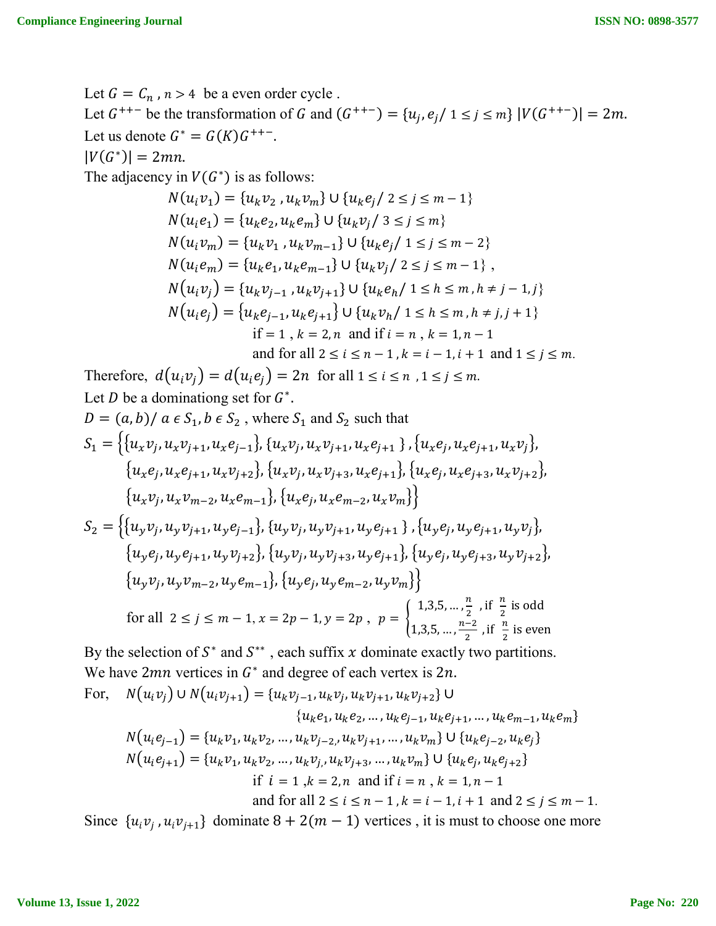Let  $G = C_n$ ,  $n > 4$  be a even order cycle. Let  $G^{++-}$  be the transformation of G and  $(G^{++-}) = \{u_i, e_i / 1 \le i \le m\} |V(G^{++-})| = 2m$ . Let us denote  $G^* = G(K)G^{++-}$ .  $|V(G^*)| = 2mn$ . The adjacency in  $V(G^*)$  is as follows:  $N(u_i v_1) = {u_k v_2, u_k v_m} \cup {u_k e_i / 2 \le i \le m - 1}$  $N(u_i e_1) = \{u_k e_2, u_k e_m\} \cup \{u_k v_i / 3 \le i \le m\}$  $N(u_i v_m) = {u_k v_1, u_k v_{m-1}} \cup {u_k e_i / 1 \le i \le m-2}$  $N(u_i e_m) = \{u_k e_1, u_k e_{m-1}\} \cup \{u_k v_i / 2 \le i \le m-1\},$  $N(u_i v_i) = {u_k v_{i-1}, u_k v_{i+1}} \cup {u_k e_h / 1 \le h \le m, h \ne j-1, j}$  $N(u_i e_j) = \{u_k e_{i-1}, u_k e_{i+1}\} \cup \{u_k v_h / 1 \le h \le m, h \ne j, j+1\}$ if = 1,  $k = 2, n$  and if  $i = n$ ,  $k = 1, n - 1$ and for all  $2 \le i \le n - 1$ ,  $k = i - 1$ ,  $i + 1$  and  $1 \le j \le m$ . Therefore,  $d(u_iv_j) = d(u_ie_j) = 2n$  for all  $1 \le i \le n$ ,  $1 \le j \le m$ . Let *D* be a dominationg set for  $G^*$ .  $D = (a, b)/a \in S_1, b \in S_2$ , where  $S_1$  and  $S_2$  such that  $S_1 = \{ \{u_xv_i, u_xv_{i+1}, u_xe_{i-1}\}, \{u_xv_i, u_xv_{i+1}, u_xe_{i+1}\}, \{u_xe_i, u_xe_{i+1}, u_xv_i\},\}$  ${u_x e_i, u_x e_{i+1}, u_x v_{i+2}}, {u_x v_i, u_x v_{i+3}, u_x e_{i+1}}, {u_x e_i, u_x e_{i+3}, u_x v_{i+2}}$  ${u_xv_i, u_xv_{m-2}, u_xe_{m-1}}, {u_xe_i, u_xe_{m-2}, u_xv_m}$  $S_2 = \left\{ \{u_\gamma v_i, u_\gamma v_{i+1}, u_\gamma e_{i-1}\}, \{u_\gamma v_i, u_\gamma v_{i+1}, u_\gamma e_{i+1}\}, \{u_\gamma e_i, u_\gamma e_{i+1}, u_\gamma v_i\}, \right\}$  $\{u_{\nu}e_i, u_{\nu}e_{i+1}, u_{\nu}v_{i+2}\}\$ ,  $\{u_{\nu}v_i, u_{\nu}v_{i+3}, u_{\nu}e_{i+1}\}\$ ,  $\{u_{\nu}e_i, u_{\nu}e_{i+3}, u_{\nu}v_{i+2}\}\$  ${u_yv_j, u_yv_{m-2}, u_ye_{m-1}}, {u_ye_j, u_ye_{m-2}, u_yv_m}$ for all  $2 \le j \le m-1, x = 2p-1, y = 2p, p = \{$  $1,3,5,...,\frac{n}{2}$ , if  $\frac{n}{2}$  is odd 1,3,5, ...,  $\frac{n-2}{2}$ , if  $\frac{n}{2}$  is even By the selection of  $S^*$  and  $S^{**}$ , each suffix x dominate exactly two partitions. We have 2mn vertices in  $G^*$  and degree of each vertex is 2n. For,  $N(u_i v_j) \cup N(u_i v_{j+1}) = \{u_k v_{j-1}, u_k v_j, u_k v_{j+1}, u_k v_{j+2}\} \cup$  $\{u_k e_1, u_k e_2, ..., u_k e_{i-1}, u_k e_{i+1}, ..., u_k e_{m-1}, u_k e_m\}$  $N(u_i e_{j-1}) = \{u_k v_1, u_k v_2, ..., u_k v_{j-2}, u_k v_{j+1}, ..., u_k v_m\} \cup \{u_k e_{j-2}, u_k e_j\}$ 

$$
N(u_i e_{j+1}) = \{u_k v_1, u_k v_2, \dots, u_k v_{j}, u_k v_{j+3}, \dots, u_k v_m\} \cup \{u_k e_j, u_k e_{j+2}\}
$$

if  $i = 1, k = 2, n$  and if  $i = n, k = 1, n - 1$ 

and for all  $2 \le i \le n-1$ ,  $k = i - 1$ ,  $i + 1$  and  $2 \le i \le m - 1$ .

Since  $\{u_i v_j, u_i v_{i+1}\}$  dominate  $8 + 2(m - 1)$  vertices, it is must to choose one more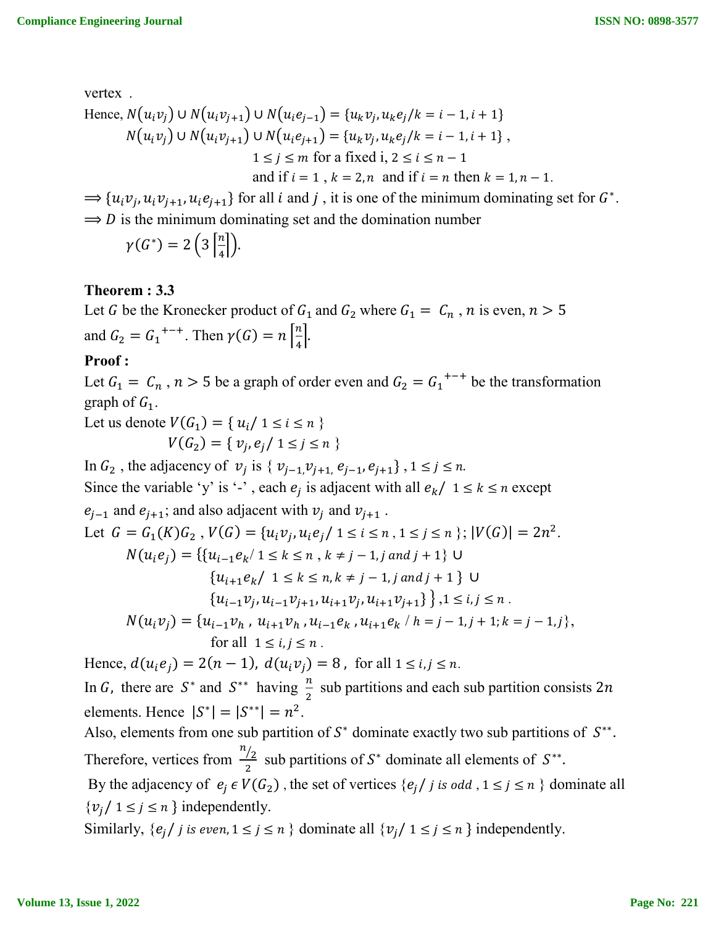vertex .

Hence, 
$$
N(u_i v_j) \cup N(u_i v_{j+1}) \cup N(u_i e_{j-1}) = \{u_k v_j, u_k e_j / k = i - 1, i + 1\}
$$
  
\n $N(u_i v_j) \cup N(u_i v_{j+1}) \cup N(u_i e_{j+1}) = \{u_k v_j, u_k e_j / k = i - 1, i + 1\}$ ,  
\n $1 \le j \le m$  for a fixed i,  $2 \le i \le n - 1$   
\nand if  $i = 1$ ,  $k = 2, n$  and if  $i = n$  then  $k = 1, n - 1$ .

 $\Rightarrow$  { $u_i v_j, u_i v_{j+1}, u_i e_{j+1}$ } for all *i* and *j*, it is one of the minimum dominating set for  $G^*$ .  $\Rightarrow$  D is the minimum dominating set and the domination number

$$
\gamma(G^*)=2\left(3\left\lceil\frac{n}{4}\right\rceil\right).
$$

# **Theorem : 3.3**

Let G be the Kronecker product of  $G_1$  and  $G_2$  where  $G_1 = C_n$ , n is even,  $n > 5$ and  $G_2 = G_1^{+ - +}$ . Then  $\gamma(G) = n \left[\frac{n}{4}\right]$  $\frac{n}{4}$ .

# **Proof :**

Let  $G_1 = C_n$ ,  $n > 5$  be a graph of order even and  $G_2 = G_1^{+ - +}$  be the transformation graph of  $G_1$ .

Let us denote  $V(G_1) = \{ u_i / 1 \le i \le n \}$  $V(G_2) = \{ v_i, e_i / 1 \leq j \leq n \}$ 

In  $G_2$ , the adjacency of  $v_j$  is  $\{v_{j-1}, v_{j+1}, e_{j-1}, e_{j+1}\}, 1 \le j \le n$ .

Since the variable 'y' is '-', each  $e_j$  is adjacent with all  $e_k / 1 \le k \le n$  except  $e_{j-1}$  and  $e_{j+1}$ ; and also adjacent with  $v_j$  and  $v_{j+1}$ .

Let 
$$
G = G_1(K)G_2
$$
,  $V(G) = \{u_iv_j, u_ie_j \mid 1 \le i \le n, 1 \le j \le n\}$ ;  $|V(G)| = 2n^2$ .

$$
N(u_i e_j) = \{ \{u_{i-1}e_k / 1 \le k \le n, k \ne j-1, j \text{ and } j+1 \} \cup \{u_{i+1}e_k / 1 \le k \le n, k \ne j-1, j \text{ and } j+1 \} \cup \{u_{i-1}v_j, u_{i-1}v_{j+1}, u_{i+1}v_j, u_{i+1}v_{j+1} \} \}, 1 \le i, j \le n.
$$

$$
N(u_i v_j) = \{u_{i-1}v_h, u_{i+1}v_h, u_{i-1}e_k, u_{i+1}e_k \mid h = j-1, j+1; k = j-1, j\},\
$$
for all  $1 \le i, j \le n$ .

Hence,  $d(u_i e_j) = 2(n - 1)$ ,  $d(u_i v_j) = 8$ , for all  $1 \le i, j \le n$ .

In G, there are  $S^*$  and  $S^{**}$  having  $\frac{n}{2}$  sub partitions and each sub partition consists 2n elements. Hence  $|S^*| = |S^{**}| = n^2$ .

Also, elements from one sub partition of  $S^*$  dominate exactly two sub partitions of  $S^{**}$ . Therefore, vertices from  $\frac{n}{2}$  sub partitions of S<sup>\*</sup> dominate all elements of S<sup>\*\*</sup>. By the adjacency of  $e_i \in V(G_2)$ , the set of vertices  $\{e_i / j \text{ is odd }, 1 \leq j \leq n \}$  dominate all  $\{v_i / 1 \leq j \leq n\}$  independently.

Similarly,  $\{e_i / j \text{ is even}, 1 \leq j \leq n \}$  dominate all  $\{v_i / 1 \leq j \leq n \}$  independently.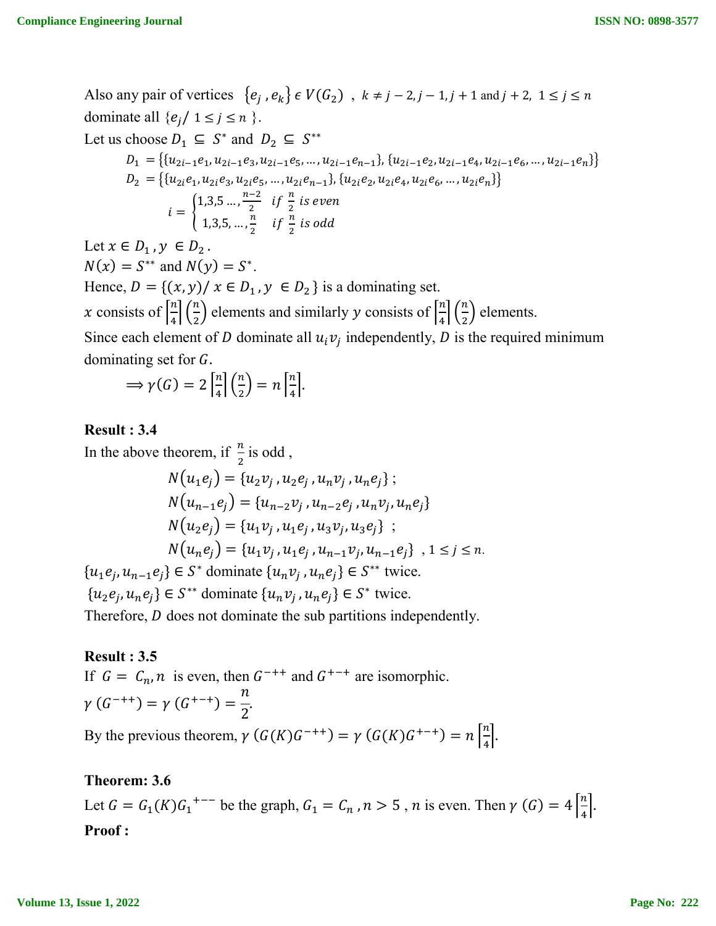Also any pair of vertices  $\{e_i, e_k\} \in V(G_2)$ ,  $k \neq j - 2, j - 1, j + 1$  and  $j + 2, 1 \leq j \leq n$ dominate all  $\{e_j / 1 \le j \le n\}$ . Let us choose  $D_1 \subseteq S^*$  and  $D_2 \subseteq S^{**}$  $D_1 = \big\{ \{u_{2i-1}e_1, u_{2i-1}e_3, u_{2i-1}e_5, \ldots, u_{2i-1}e_{n-1}\}, \allowbreak \{u_{2i-1}e_2, u_{2i-1}e_4, u_{2i-1}e_6, \ldots, u_{2i-1}e_n\} \big\}$  $D_2\ = \left\{ \{u_{2i}e_1, u_{2i}e_3, u_{2i}e_5, \ldots, u_{2i}e_{n-1}\}, \{u_{2i}e_2, u_{2i}e_4, u_{2i}e_6, \ldots, u_{2i}e_n\} \right\}$  $i = \{$  $1,3,5\ldots,\frac{n-2}{2}$  if  $\frac{n}{2}$  is even 1,3,5, ..., $\frac{n}{2}$  if  $\frac{n}{2}$  is odd Let  $x \in D_1$ ,  $y \in D_2$ .  $N(x) = S^{**}$  and  $N(y) = S^*$ . Hence,  $D = \{(x, y) / x \in D_1, y \in D_2\}$  is a dominating set. x consists of  $\left[\frac{n}{4}\right]$  $\frac{n}{4} \left( \frac{n}{2} \right)$  $\binom{n}{2}$  elements and similarly y consists of  $\left\lceil \frac{n}{4} \right\rceil$  $\binom{n}{4}$  $\binom{n}{2}$  $\frac{n}{2}$ ) elements. Since each element of *D* dominate all  $u_i v_j$  independently, *D* is the required minimum dominating set for *.* 

$$
\Rightarrow \gamma(G) = 2\left[\frac{n}{4}\right]\left(\frac{n}{2}\right) = n\left[\frac{n}{4}\right].
$$

## **Result : 3.4**

In the above theorem, if  $\frac{n}{2}$  is odd,

$$
N(u_1e_j) = \{u_2v_j, u_2e_j, u_nv_j, u_ne_j\};
$$
  
\n
$$
N(u_{n-1}e_j) = \{u_{n-2}v_j, u_{n-2}e_j, u_nv_j, u_ne_j\}
$$
  
\n
$$
N(u_2e_j) = \{u_1v_j, u_1e_j, u_3v_j, u_3e_j\};
$$
  
\n
$$
N(u_ne_j) = \{u_1v_j, u_1e_j, u_{n-1}v_j, u_{n-1}e_j\}, 1 \le j \le n.
$$
  
\n
$$
\{u_1e_j, u_{n-1}e_j\} \in S^*
$$
 dominate 
$$
\{u_nv_j, u_ne_j\} \in S^{**}
$$
 twice.

 ${u_2 e_j, u_n e_j} \in S^{**}$  dominate  ${u_n v_j, u_n e_j} \in S^*$  twice.

Therefore,  $D$  does not dominate the sub partitions independently.

## **Result : 3.5**

If  $G = C_n$ , *n* is even, then  $G^{++}$  and  $G^{+-+}$  are isomorphic.  $\gamma(G^{-++}) = \gamma(G^{+-+}) = \frac{n}{2}$ 2 . By the previous theorem,  $\gamma(G(K)G^{-++}) = \gamma(G(K)G^{+-+}) = n\left[\frac{n}{4}\right]$ 

# **Theorem: 3.6**

Let  $G = G_1(K)G_1^{+--}$  be the graph,  $G_1 = G_n$ ,  $n > 5$ ,  $n$  is even. Then  $\gamma(G) = 4\left[\frac{n}{4}\right]$  $\frac{n}{4}$ . **Proof :**

 $\frac{n}{4}$ .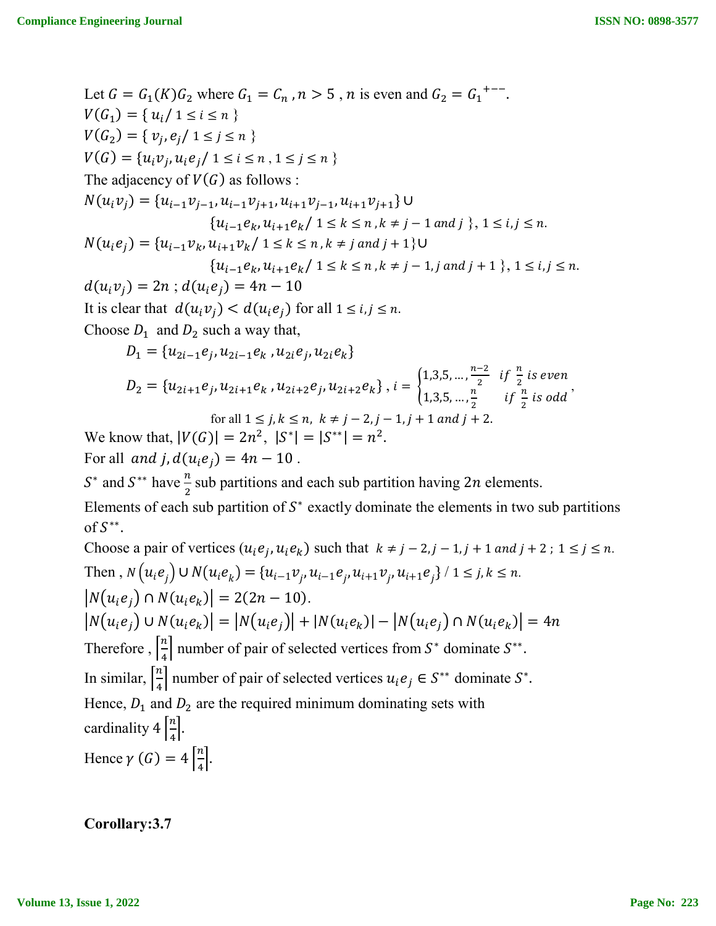Let 
$$
G = G_1(K)G_2
$$
 where  $G_1 = C_n$ ,  $n > 5$ , n is even and  $G_2 = G_1^{+--}$ .  
\n $V(G_1) = \{u_i/1 \le i \le n \}$   
\n $V(G_2) = \{v_j, e_j/1 \le j \le n \}$   
\n $V(G) = \{u_i v_j, u_i e_j/1 \le i \le n, 1 \le j \le n \}$   
\nThe adjacency of  $V(G)$  as follows :  
\n $N(u_i v_j) = \{u_{i-1}v_{j-1}, u_{i-1}v_{j+1}, u_{i+1}v_{j-1}, u_{i+1}v_{j+1}\} \cup$   
\n $\{u_{i-1}e_k, u_{i+1}e_k/1 \le k \le n, k \ne j-1 \text{ and } j\}, 1 \le i, j \le n$ .  
\n $N(u_i e_j) = \{u_{i-1}v_k, u_{i+1}v_k/1 \le k \le n, k \ne j \text{ and } j+1\} \cup$   
\n $\{u_{i-1}e_k, u_{i+1}e_k/1 \le k \le n, k \ne j-1, j \text{ and } j+1\}, 1 \le i, j \le n$ .  
\n $d(u_i v_j) = 2n$ ;  $d(u_i e_j) = 4n - 10$   
\nIt is clear that  $d(u_i v_j) < d(u_i e_j)$  for all  $1 \le i, j \le n$ .  
\nChoose  $D_1$  and  $D_2$  such a way that,  
\n $D_1 = \{u_{2i-1}e_j, u_{2i-1}e_k, u_{2i}e_j, u_{2i}e_k\}$   
\n $D_2 = \{u_{2i+1}e_j, u_{2i+1}e_k, u_{2i+2}e_j, u_{2i+2}e_k\}, i = \begin{cases} 1,3,5,..., \frac{n-2}{2} & \text{if } \frac{n}{2} \text{ is even} \\ 1,3,5,..., \frac{n}{2} & \text{if } \frac{n}{2} \text{ is odd} \end{cases}$   
\nfor all  $1 \le j, k \le n, k \ne j-2, j-1, j+1 \text{ and } j+2$ .  
\n

Choose a pair of vertices  $(u_i e_j, u_i e_k)$  such that  $k \neq j - 2, j - 1, j + 1$  and  $j + 2$ ;  $1 \leq j \leq n$ . Then,  $N(u_i e_j) \cup N(u_i e_k) = \{u_{i-1} v_j, u_{i-1} e_j, u_{i+1} v_j, u_{i+1} e_j\} / 1 \le j, k \le n$ .  $|N(u_i e_i) \cap N(u_i e_k)| = 2(2n - 10).$  $|N(u_i e_j) \cup N(u_i e_k)| = |N(u_i e_j)| + |N(u_i e_k)| - |N(u_i e_j) \cap N(u_i e_k)| = 4n$ Therefore,  $\left[\frac{n}{4}\right]$  $\frac{n}{4}$  number of pair of selected vertices from  $S^*$  dominate  $S^{**}$ . In similar,  $\left[\frac{n}{4}\right]$  $\frac{n}{4}$  number of pair of selected vertices  $u_i e_j \in S^{**}$  dominate  $S^*$ . Hence,  $D_1$  and  $D_2$  are the required minimum dominating sets with cardinality  $4\left[\frac{n}{4}\right]$  $\frac{n}{4}$ . Hence  $\gamma(G) = 4\left[\frac{n}{4}\right]$  $\frac{n}{4}$ .

**Corollary:3.7**

of  $S^{**}$ .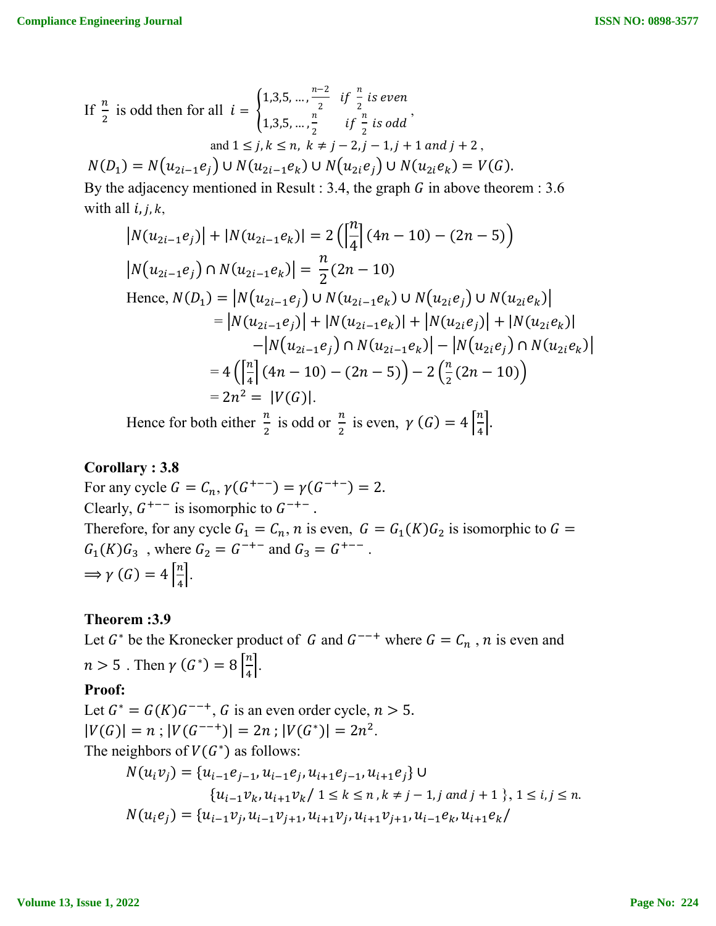If 
$$
\frac{n}{2}
$$
 is odd then for all  $i = \begin{cases} 1,3,5,..., \frac{n-2}{2} & \text{if } \frac{n}{2} \text{ is even} \\ 1,3,5,..., \frac{n}{2} & \text{if } \frac{n}{2} \text{ is odd} \end{cases}$   
and  $1 \le j, k \le n, k \ne j - 2, j - 1, j + 1 \text{ and } j + 2$ ,  
 $N(D_1) = N(u_{2i-1}e_j) \cup N(u_{2i-1}e_k) \cup N(u_{2i}e_j) \cup N(u_{2i}e_k) = V(G)$ .

By the adjacency mentioned in Result : 3.4, the graph  $G$  in above theorem : 3.6 with all  $i, j, k$ ,

$$
|N(u_{2i-1}e_j)| + |N(u_{2i-1}e_k)| = 2\left(\left|\frac{n}{4}\right|(4n-10) - (2n-5)\right)
$$
  
\n
$$
|N(u_{2i-1}e_j) \cap N(u_{2i-1}e_k)| = \frac{n}{2}(2n-10)
$$
  
\nHence,  $N(D_1) = |N(u_{2i-1}e_j) \cup N(u_{2i-1}e_k) \cup N(u_{2i}e_j) \cup N(u_{2i}e_k)|$   
\n
$$
= |N(u_{2i-1}e_j)| + |N(u_{2i-1}e_k)| + |N(u_{2i}e_j)| + |N(u_{2i}e_k)|
$$
  
\n
$$
-|N(u_{2i-1}e_j) \cap N(u_{2i-1}e_k)| - |N(u_{2i}e_j) \cap N(u_{2i}e_k)|
$$
  
\n
$$
= 4\left(\left|\frac{n}{4}\right|(4n-10) - (2n-5)\right) - 2\left(\frac{n}{2}(2n-10)\right)
$$
  
\n
$$
= 2n^2 = |V(G)|.
$$
  
\nHence for both either  $\frac{n}{2}$  is odd or  $\frac{n}{2}$  is even  $\gamma(G) = 4\left|\frac{n}{2}\right|$ 

Hence for both either  $\frac{n}{2}$  is odd or  $\frac{n}{2}$  is even,  $\gamma(G) = 4$  $\frac{n}{4}$ .

## **Corollary : 3.8**

For any cycle  $G = C_n$ ,  $\gamma(G^{+--}) = \gamma(G^{-+-}) = 2$ . Clearly,  $G^{+--}$  is isomorphic to  $G^{-+-}$ . Therefore, for any cycle  $G_1 = C_n$ , *n* is even,  $G = G_1(K)G_2$  is isomorphic to  $G =$  $G_1(K)G_3$ , where  $G_2 = G^{-+-}$  and  $G_3 = G^{+--}$ .  $\Rightarrow \gamma(G) = 4\left[\frac{n}{4}\right]$  $\frac{n}{4}$ .

# **Theorem :3.9**

Let  $G^*$  be the Kronecker product of G and  $G^{--+}$  where  $G = C_n$ , n is even and  $n > 5$ . Then  $\gamma(G^*) = 8 \left[ \frac{n}{4} \right]$  $\frac{n}{4}$ .

# **Proof:**

Let  $G^* = G(K)G^{-+1}$ , G is an even order cycle,  $n > 5$ .  $|V(G)| = n$ ;  $|V(G^{--+})| = 2n$ ;  $|V(G^*)| = 2n^2$ . The neighbors of  $V(G^*)$  as follows:

$$
N(u_i v_j) = \{u_{i-1}e_{j-1}, u_{i-1}e_j, u_{i+1}e_{j-1}, u_{i+1}e_j\} \cup
$$
  
\n
$$
\{u_{i-1}v_k, u_{i+1}v_k / 1 \le k \le n, k \ne j-1, j \text{ and } j+1 \}, 1 \le i, j \le n.
$$
  
\n
$$
N(u_i e_j) = \{u_{i-1}v_j, u_{i-1}v_{j+1}, u_{i+1}v_j, u_{i+1}v_{j+1}, u_{i-1}e_k, u_{i+1}e_k / 1 \}
$$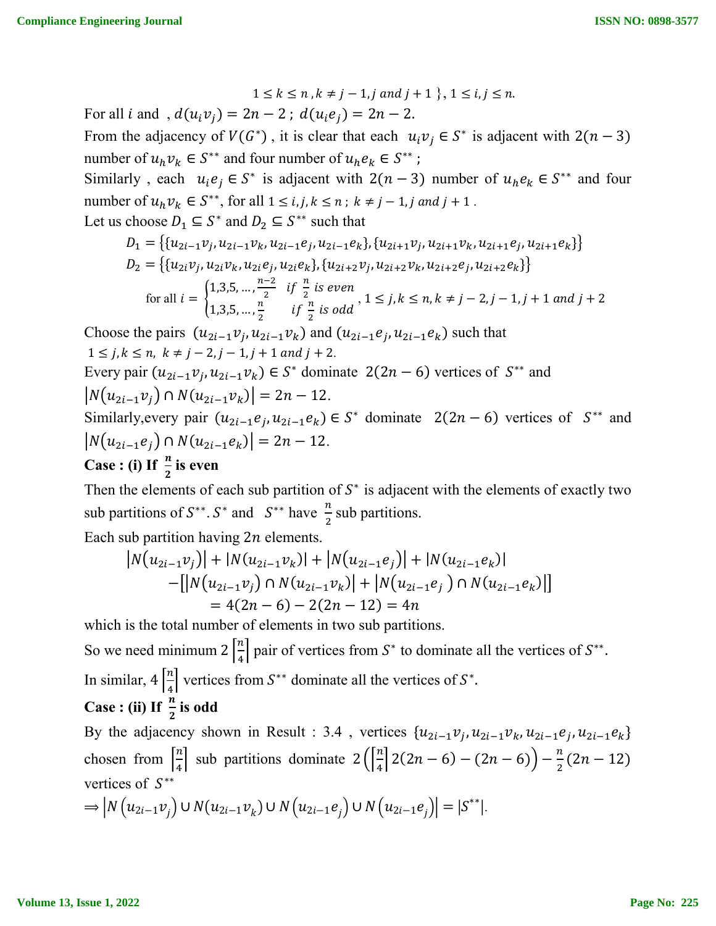$$
1 \leq k \leq n , k \neq j-1, j \text{ and } j+1 \}, 1 \leq i, j \leq n.
$$

For all *i* and ,  $d(u_i v_j) = 2n - 2$ ;  $d(u_i e_j) = 2n - 2$ .

From the adjacency of  $V(G^*)$ , it is clear that each  $u_i v_j \in S^*$  is adjacent with  $2(n-3)$ number of  $u_h v_k \in S^{**}$  and four number of  $u_h e_k \in S^{**}$ ;

Similarly, each  $u_i e_j \in S^*$  is adjacent with  $2(n-3)$  number of  $u_h e_k \in S^{**}$  and four number of  $u_h v_k \in S^{**}$ , for all  $1 \le i, j, k \le n$ ;  $k \ne j - 1, j$  and  $j + 1$ . Let us choose  $D_1 \subseteq S^*$  and  $D_2 \subseteq S^{**}$  such that

$$
D_1 = \{ \{u_{2i-1}v_j, u_{2i-1}v_k, u_{2i-1}e_j, u_{2i-1}e_k\}, \{u_{2i+1}v_j, u_{2i+1}v_k, u_{2i+1}e_j, u_{2i+1}e_k\} \}
$$
  
\n
$$
D_2 = \{ \{u_{2i}v_j, u_{2i}v_k, u_{2i}e_j, u_{2i}e_k\}, \{u_{2i+2}v_j, u_{2i+2}v_k, u_{2i+2}e_j, u_{2i+2}e_k\} \}
$$
  
\nfor all  $i = \begin{cases} 1,3,5,\dots, \frac{n-2}{2} & \text{if } \frac{n}{2} \text{ is even} \\ 1,3,5,\dots, \frac{n}{2} & \text{if } \frac{n}{2} \text{ is odd} \end{cases}, 1 \le j, k \le n, k \ne j - 2, j - 1, j + 1 \text{ and } j + 2 \}$ 

Choose the pairs  $(u_{2i-1}v_i, u_{2i-1}v_k)$  and  $(u_{2i-1}e_i, u_{2i-1}e_k)$  such that  $1 \le j, k \le n, k \ne j-2, j-1, j+1 \text{ and } j+2.$ Every pair  $(u_{2i-1}v_i, u_{2i-1}v_k) \in S^*$  dominate  $2(2n - 6)$  vertices of  $S^{**}$  and  $|N(u_{2i-1}v_i) \cap N(u_{2i-1}v_k)| = 2n - 12.$ Similarly, every pair  $(u_{2i-1}e_i, u_{2i-1}e_k) \in S^*$  dominate  $2(2n - 6)$  vertices of  $S^{**}$  and

 $|N(u_{2i-1}e_i) \cap N(u_{2i-1}e_k)| = 2n - 12.$ 

# **Case : (i)** If  $\frac{n}{2}$  is even

Then the elements of each sub partition of  $S^*$  is adjacent with the elements of exactly two sub partitions of  $S^{**}$ .  $S^*$  and  $S^{**}$  have  $\frac{n}{2}$  sub partitions.

Each sub partition having  $2n$  elements.

$$
|N(u_{2i-1}v_j)| + |N(u_{2i-1}v_k)| + |N(u_{2i-1}e_j)| + |N(u_{2i-1}e_k)|
$$
  
-[|N(u\_{2i-1}v\_j) \cap N(u\_{2i-1}v\_k)| + |N(u\_{2i-1}e\_j) \cap N(u\_{2i-1}e\_k)|]  
= 4(2n - 6) - 2(2n - 12) = 4n

which is the total number of elements in two sub partitions.

So we need minimum  $2\left[\frac{n}{4}\right]$  $\frac{n}{4}$  pair of vertices from  $S^*$  to dominate all the vertices of  $S^{**}$ . In similar,  $4\left[\frac{n}{4}\right]$  $\frac{n}{4}$  vertices from  $S^{**}$  dominate all the vertices of  $S^*$ .

Case : (ii) If 
$$
\frac{n}{2}
$$
 is odd

By the adjacency shown in Result : 3.4, vertices  $\{u_{2i-1}v_i, u_{2i-1}v_k, u_{2i-1}e_i, u_{2i-1}e_k\}$ chosen from  $\left[\frac{n}{4}\right]$  $\frac{n}{4}$  sub partitions dominate  $2\left(\frac{n}{4}\right)$  $\frac{n}{4} \left[ 2(2n-6) - (2n-6) \right] - \frac{n}{2}(2n-12)$ vertices of  $S^{**}$  $\Rightarrow |N(u_{2i-1}v_j) \cup N(u_{2i-1}v_k) \cup N(u_{2i-1}e_j) \cup N(u_{2i-1}e_j)| = |S^{**}|.$